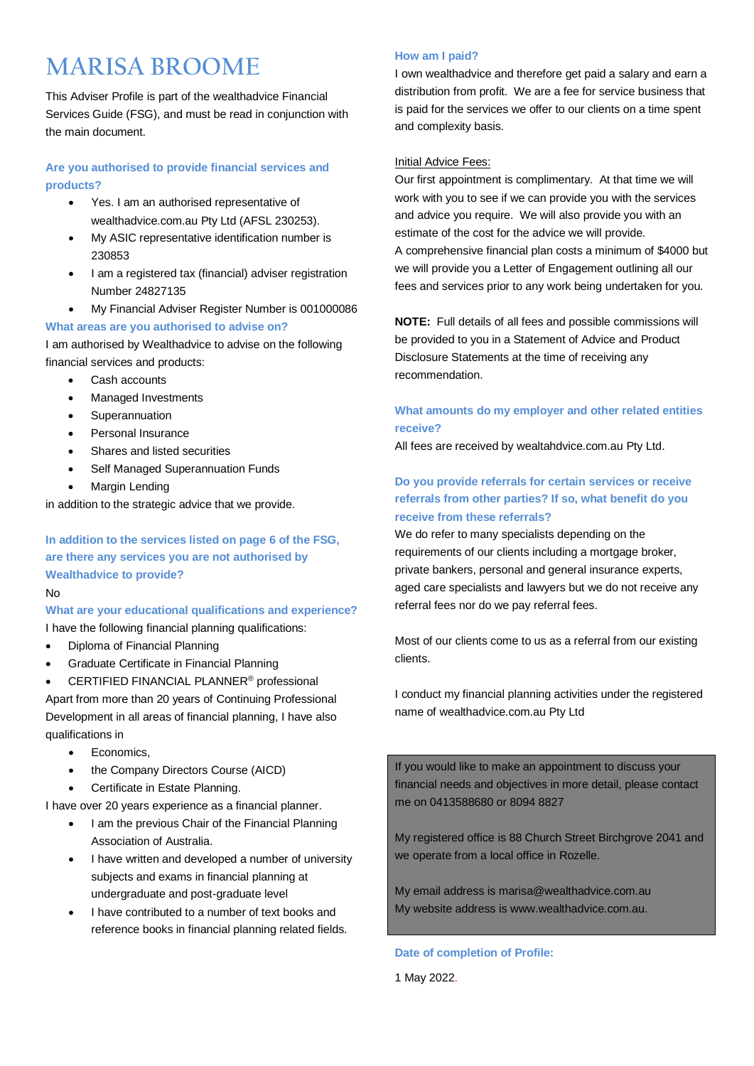# **MARISA BROOME**

This Adviser Profile is part of the wealthadvice Financial Services Guide (FSG), and must be read in conjunction with the main document.

### **Are you authorised to provide financial services and products?**

- Yes. I am an authorised representative of wealthadvice.com.au Pty Ltd (AFSL 230253).
- My ASIC representative identification number is 230853
- I am a registered tax (financial) adviser registration Number 24827135
- My Financial Adviser Register Number is 001000086

# **What areas are you authorised to advise on?**

I am authorised by Wealthadvice to advise on the following financial services and products:

- Cash accounts
- Managed Investments
- **Superannuation**
- Personal Insurance
- Shares and listed securities
- Self Managed Superannuation Funds
- **Margin Lending**

in addition to the strategic advice that we provide.

**In addition to the services listed on page 6 of the FSG, are there any services you are not authorised by Wealthadvice to provide?**

#### No

**What are your educational qualifications and experience?** I have the following financial planning qualifications:

- Diploma of Financial Planning
- Graduate Certificate in Financial Planning
- CERTIFIED FINANCIAL PLANNER® professional

Apart from more than 20 years of Continuing Professional Development in all areas of financial planning, I have also qualifications in

- Economics,
- the Company Directors Course (AICD)
- Certificate in Estate Planning.

I have over 20 years experience as a financial planner.

- I am the previous Chair of the Financial Planning Association of Australia.
- I have written and developed a number of university subjects and exams in financial planning at undergraduate and post-graduate level
- I have contributed to a number of text books and reference books in financial planning related fields.

# **How am I paid?**

I own wealthadvice and therefore get paid a salary and earn a distribution from profit. We are a fee for service business that is paid for the services we offer to our clients on a time spent and complexity basis.

#### Initial Advice Fees:

Our first appointment is complimentary. At that time we will work with you to see if we can provide you with the services and advice you require. We will also provide you with an estimate of the cost for the advice we will provide. A comprehensive financial plan costs a minimum of \$4000 but we will provide you a Letter of Engagement outlining all our fees and services prior to any work being undertaken for you.

**NOTE:** Full details of all fees and possible commissions will be provided to you in a Statement of Advice and Product Disclosure Statements at the time of receiving any recommendation.

### **What amounts do my employer and other related entities receive?**

All fees are received by wealtahdvice.com.au Pty Ltd.

# **Do you provide referrals for certain services or receive referrals from other parties? If so, what benefit do you receive from these referrals?**

We do refer to many specialists depending on the requirements of our clients including a mortgage broker, private bankers, personal and general insurance experts, aged care specialists and lawyers but we do not receive any referral fees nor do we pay referral fees.

Most of our clients come to us as a referral from our existing clients.

I conduct my financial planning activities under the registered name of wealthadvice.com.au Pty Ltd

If you would like to make an appointment to discuss your financial needs and objectives in more detail, please contact me on 0413588680 or 8094 8827

My registered office is 88 Church Street Birchgrove 2041 and we operate from a local office in Rozelle.

My email address is marisa@wealthadvice.com.au My website address is www.wealthadvice.com.au.

**Date of completion of Profile:**

1 May 2022.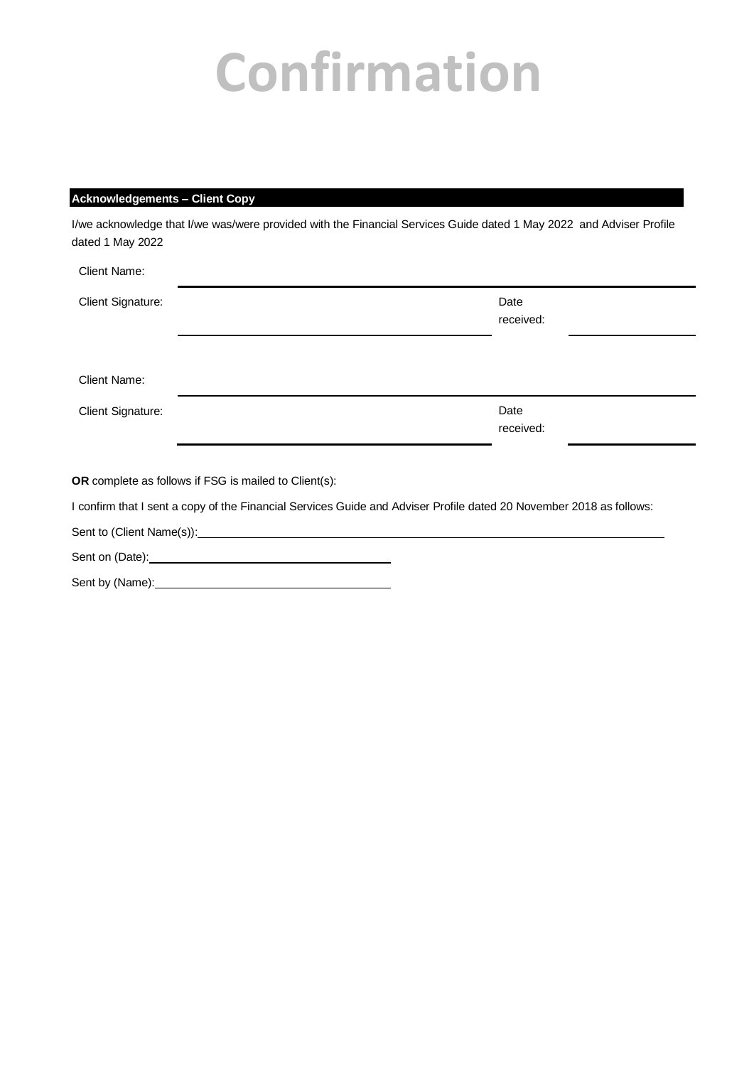# **Confirmation**

#### **Acknowledgements – Client Copy**

I/we acknowledge that I/we was/were provided with the Financial Services Guide dated 1 May 2022 and Adviser Profile dated 1 May 2022

| <b>Client Name:</b>                                                                                                 |  |                   |  |  |  |
|---------------------------------------------------------------------------------------------------------------------|--|-------------------|--|--|--|
| <b>Client Signature:</b>                                                                                            |  | Date<br>received: |  |  |  |
| <b>Client Name:</b>                                                                                                 |  |                   |  |  |  |
| <b>Client Signature:</b>                                                                                            |  | Date<br>received: |  |  |  |
| OR complete as follows if FSG is mailed to Client(s):                                                               |  |                   |  |  |  |
| I confirm that I sent a copy of the Financial Services Guide and Adviser Profile dated 20 November 2018 as follows: |  |                   |  |  |  |
| Sent to (Client Name(s)):                                                                                           |  |                   |  |  |  |

Sent on (Date):

Sent by (Name):